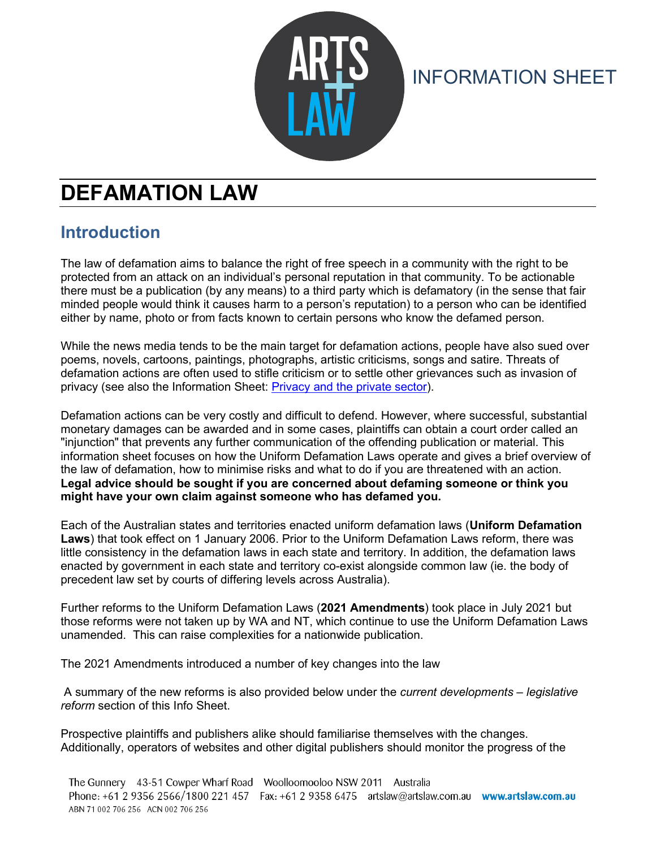

# INFORMATION SHEET

# **DEFAMATION LAW**

### **Introduction**

The law of defamation aims to balance the right of free speech in a community with the right to be protected from an attack on an individual's personal reputation in that community. To be actionable there must be a publication (by any means) to a third party which is defamatory (in the sense that fair minded people would think it causes harm to a person's reputation) to a person who can be identified either by name, photo or from facts known to certain persons who know the defamed person.

While the news media tends to be the main target for defamation actions, people have also sued over poems, novels, cartoons, paintings, photographs, artistic criticisms, songs and satire. Threats of defamation actions are often used to stifle criticism or to settle other grievances such as invasion of privacy (see also the Information Sheet: [Privacy and the private sector\)](http://www.artslaw.com.au/info-sheets/info-sheet/privacy-and-the-private-sector/).

Defamation actions can be very costly and difficult to defend. However, where successful, substantial monetary damages can be awarded and in some cases, plaintiffs can obtain a court order called an "injunction" that prevents any further communication of the offending publication or material. This information sheet focuses on how the Uniform Defamation Laws operate and gives a brief overview of the law of defamation, how to minimise risks and what to do if you are threatened with an action. **Legal advice should be sought if you are concerned about defaming someone or think you might have your own claim against someone who has defamed you.** 

Each of the Australian states and territories enacted uniform defamation laws (**Uniform Defamation Laws**) that took effect on 1 January 2006. Prior to the Uniform Defamation Laws reform, there was little consistency in the defamation laws in each state and territory. In addition, the defamation laws enacted by government in each state and territory co-exist alongside common law (ie. the body of precedent law set by courts of differing levels across Australia).

Further reforms to the Uniform Defamation Laws (**2021 Amendments**) took place in July 2021 but those reforms were not taken up by WA and NT, which continue to use the Uniform Defamation Laws unamended. This can raise complexities for a nationwide publication.

The 2021 Amendments introduced a number of key changes into the law

A summary of the new reforms is also provided below under the *current developments – legislative reform* section of this Info Sheet.

Prospective plaintiffs and publishers alike should familiarise themselves with the changes. Additionally, operators of websites and other digital publishers should monitor the progress of the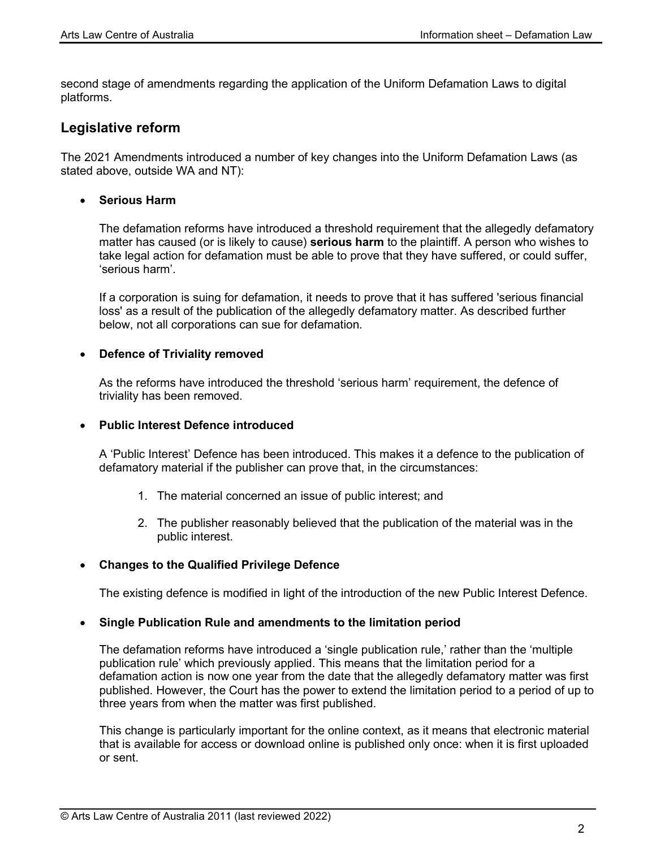second stage of amendments regarding the application of the Uniform Defamation Laws to digital platforms.

#### **Legislative reform**

The 2021 Amendments introduced a number of key changes into the Uniform Defamation Laws (as stated above, outside WA and NT):

• **Serious Harm**

The defamation reforms have introduced a threshold requirement that the allegedly defamatory matter has caused (or is likely to cause) **serious harm** to the plaintiff. A person who wishes to take legal action for defamation must be able to prove that they have suffered, or could suffer, 'serious harm'.

If a corporation is suing for defamation, it needs to prove that it has suffered 'serious financial loss' as a result of the publication of the allegedly defamatory matter. As described further below, not all corporations can sue for defamation.

#### • **Defence of Triviality removed**

As the reforms have introduced the threshold 'serious harm' requirement, the defence of triviality has been removed.

#### • **Public Interest Defence introduced**

A 'Public Interest' Defence has been introduced. This makes it a defence to the publication of defamatory material if the publisher can prove that, in the circumstances:

- 1. The material concerned an issue of public interest; and
- 2. The publisher reasonably believed that the publication of the material was in the public interest.

#### • **Changes to the Qualified Privilege Defence**

The existing defence is modified in light of the introduction of the new Public Interest Defence.

#### • **Single Publication Rule and amendments to the limitation period**

The defamation reforms have introduced a 'single publication rule,' rather than the 'multiple publication rule' which previously applied. This means that the limitation period for a defamation action is now one year from the date that the allegedly defamatory matter was first published. However, the Court has the power to extend the limitation period to a period of up to three years from when the matter was first published.

This change is particularly important for the online context, as it means that electronic material that is available for access or download online is published only once: when it is first uploaded or sent.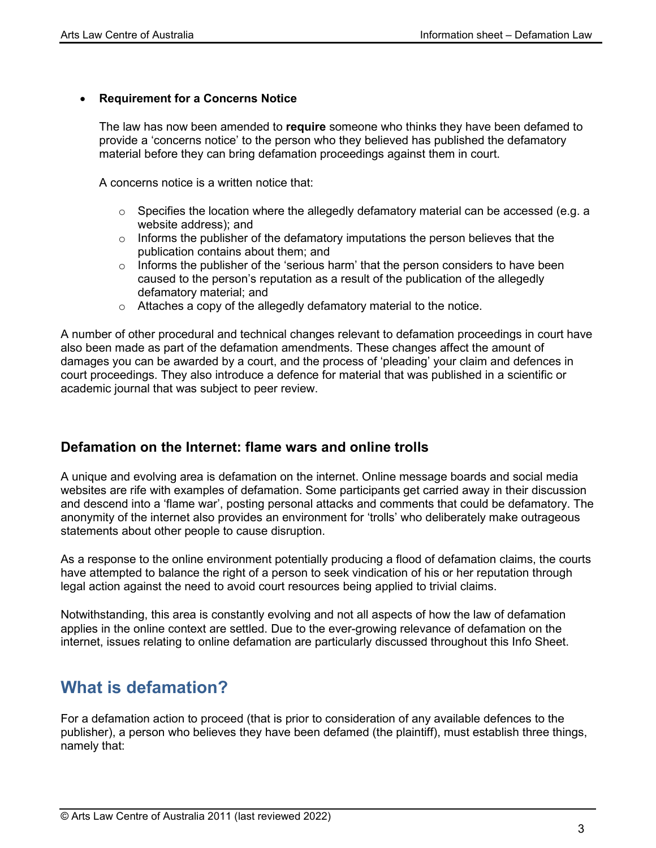#### • **Requirement for a Concerns Notice**

The law has now been amended to **require** someone who thinks they have been defamed to provide a 'concerns notice' to the person who they believed has published the defamatory material before they can bring defamation proceedings against them in court.

A concerns notice is a written notice that:

- $\circ$  Specifies the location where the allegedly defamatory material can be accessed (e.g. a website address); and
- $\circ$  Informs the publisher of the defamatory imputations the person believes that the publication contains about them; and
- $\circ$  Informs the publisher of the 'serious harm' that the person considers to have been caused to the person's reputation as a result of the publication of the allegedly defamatory material; and
- o Attaches a copy of the allegedly defamatory material to the notice.

A number of other procedural and technical changes relevant to defamation proceedings in court have also been made as part of the defamation amendments. These changes affect the amount of damages you can be awarded by a court, and the process of 'pleading' your claim and defences in court proceedings. They also introduce a defence for material that was published in a scientific or academic journal that was subject to peer review.

#### **Defamation on the Internet: flame wars and online trolls**

A unique and evolving area is defamation on the internet. Online message boards and social media websites are rife with examples of defamation. Some participants get carried away in their discussion and descend into a 'flame war', posting personal attacks and comments that could be defamatory. The anonymity of the internet also provides an environment for 'trolls' who deliberately make outrageous statements about other people to cause disruption.

As a response to the online environment potentially producing a flood of defamation claims, the courts have attempted to balance the right of a person to seek vindication of his or her reputation through legal action against the need to avoid court resources being applied to trivial claims.

Notwithstanding, this area is constantly evolving and not all aspects of how the law of defamation applies in the online context are settled. Due to the ever-growing relevance of defamation on the internet, issues relating to online defamation are particularly discussed throughout this Info Sheet.

### **What is defamation?**

For a defamation action to proceed (that is prior to consideration of any available defences to the publisher), a person who believes they have been defamed (the plaintiff), must establish three things, namely that: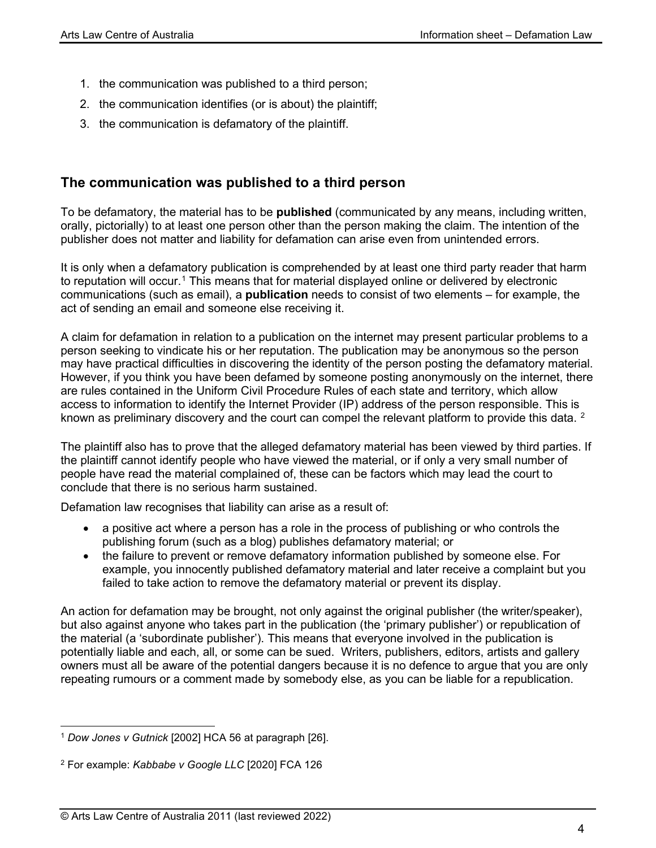- 1. the communication was published to a third person;
- 2. the communication identifies (or is about) the plaintiff;
- 3. the communication is defamatory of the plaintiff.

### **The communication was published to a third person**

To be defamatory, the material has to be **published** (communicated by any means, including written, orally, pictorially) to at least one person other than the person making the claim. The intention of the publisher does not matter and liability for defamation can arise even from unintended errors.

It is only when a defamatory publication is comprehended by at least one third party reader that harm to reputation will occur.<sup>[1](#page-3-0)</sup> This means that for material displayed online or delivered by electronic communications (such as email), a **publication** needs to consist of two elements – for example, the act of sending an email and someone else receiving it.

A claim for defamation in relation to a publication on the internet may present particular problems to a person seeking to vindicate his or her reputation. The publication may be anonymous so the person may have practical difficulties in discovering the identity of the person posting the defamatory material. However, if you think you have been defamed by someone posting anonymously on the internet, there are rules contained in the Uniform Civil Procedure Rules of each state and territory, which allow access to information to identify the Internet Provider (IP) address of the person responsible. This is known as preliminary discovery and the court can compel the relevant platform to provide this data. <sup>[2](#page-3-1)</sup>

The plaintiff also has to prove that the alleged defamatory material has been viewed by third parties. If the plaintiff cannot identify people who have viewed the material, or if only a very small number of people have read the material complained of, these can be factors which may lead the court to conclude that there is no serious harm sustained.

Defamation law recognises that liability can arise as a result of:

- a positive act where a person has a role in the process of publishing or who controls the publishing forum (such as a blog) publishes defamatory material; or
- the failure to prevent or remove defamatory information published by someone else. For example, you innocently published defamatory material and later receive a complaint but you failed to take action to remove the defamatory material or prevent its display.

An action for defamation may be brought, not only against the original publisher (the writer/speaker), but also against anyone who takes part in the publication (the 'primary publisher') or republication of the material (a 'subordinate publisher'). This means that everyone involved in the publication is potentially liable and each, all, or some can be sued. Writers, publishers, editors, artists and gallery owners must all be aware of the potential dangers because it is no defence to argue that you are only repeating rumours or a comment made by somebody else, as you can be liable for a republication.

<span id="page-3-0"></span><sup>1</sup> *Dow Jones v Gutnick* [2002] HCA 56 at paragraph [26].

<span id="page-3-1"></span><sup>2</sup> For example: *Kabbabe v Google LLC* [2020] FCA 126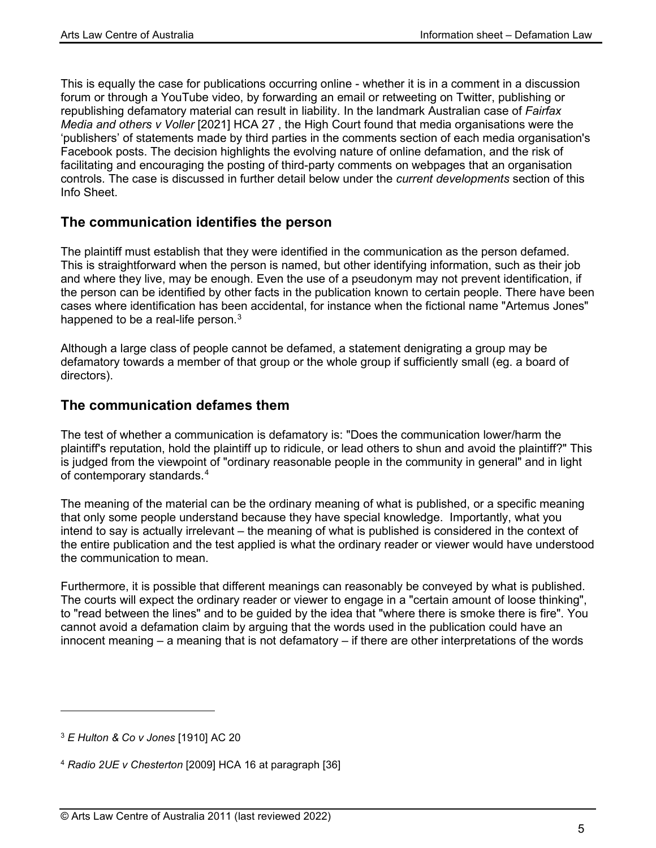This is equally the case for publications occurring online - whether it is in a comment in a discussion forum or through a YouTube video, by forwarding an email or retweeting on Twitter, publishing or republishing defamatory material can result in liability. In the landmark Australian case of *Fairfax Media and others v Voller* [2021] HCA 27 , the High Court found that media organisations were the 'publishers' of statements made by third parties in the comments section of each media organisation's Facebook posts. The decision highlights the evolving nature of online defamation, and the risk of facilitating and encouraging the posting of third-party comments on webpages that an organisation controls. The case is discussed in further detail below under the *current developments* section of this Info Sheet.

### **The communication identifies the person**

The plaintiff must establish that they were identified in the communication as the person defamed. This is straightforward when the person is named, but other identifying information, such as their job and where they live, may be enough. Even the use of a pseudonym may not prevent identification, if the person can be identified by other facts in the publication known to certain people. There have been cases where identification has been accidental, for instance when the fictional name "Artemus Jones" happened to be a real-life person. $^3$  $^3$ 

Although a large class of people cannot be defamed, a statement denigrating a group may be defamatory towards a member of that group or the whole group if sufficiently small (eg. a board of directors).

### **The communication defames them**

The test of whether a communication is defamatory is: "Does the communication lower/harm the plaintiff's reputation, hold the plaintiff up to ridicule, or lead others to shun and avoid the plaintiff?" This is judged from the viewpoint of "ordinary reasonable people in the community in general" and in light of contemporary standards.[4](#page-4-1)

The meaning of the material can be the ordinary meaning of what is published, or a specific meaning that only some people understand because they have special knowledge. Importantly, what you intend to say is actually irrelevant – the meaning of what is published is considered in the context of the entire publication and the test applied is what the ordinary reader or viewer would have understood the communication to mean.

Furthermore, it is possible that different meanings can reasonably be conveyed by what is published. The courts will expect the ordinary reader or viewer to engage in a "certain amount of loose thinking", to "read between the lines" and to be guided by the idea that "where there is smoke there is fire". You cannot avoid a defamation claim by arguing that the words used in the publication could have an innocent meaning – a meaning that is not defamatory – if there are other interpretations of the words

<span id="page-4-0"></span><sup>3</sup> *E Hulton & Co v Jones* [1910] AC 20

<span id="page-4-1"></span><sup>4</sup> *Radio 2UE v Chesterton* [2009] HCA 16 at paragraph [36]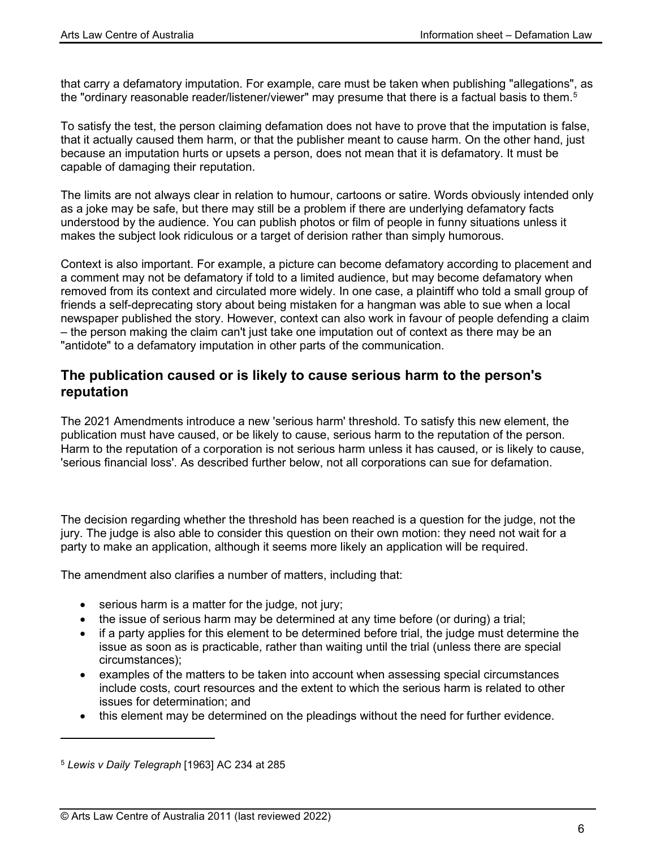that carry a defamatory imputation. For example, care must be taken when publishing "allegations", as the "ordinary reasonable reader/listener/viewer" may presume that there is a factual basis to them. $^{\rm 5}$  $^{\rm 5}$  $^{\rm 5}$ 

To satisfy the test, the person claiming defamation does not have to prove that the imputation is false, that it actually caused them harm, or that the publisher meant to cause harm. On the other hand, just because an imputation hurts or upsets a person, does not mean that it is defamatory. It must be capable of damaging their reputation.

The limits are not always clear in relation to humour, cartoons or satire. Words obviously intended only as a joke may be safe, but there may still be a problem if there are underlying defamatory facts understood by the audience. You can publish photos or film of people in funny situations unless it makes the subject look ridiculous or a target of derision rather than simply humorous.

Context is also important. For example, a picture can become defamatory according to placement and a comment may not be defamatory if told to a limited audience, but may become defamatory when removed from its context and circulated more widely. In one case, a plaintiff who told a small group of friends a self-deprecating story about being mistaken for a hangman was able to sue when a local newspaper published the story. However, context can also work in favour of people defending a claim – the person making the claim can't just take one imputation out of context as there may be an "antidote" to a defamatory imputation in other parts of the communication.

#### **The publication caused or is likely to cause serious harm to the person's reputation**

The 2021 Amendments introduce a new 'serious harm' threshold. To satisfy this new element, the publication must have caused, or be likely to cause, serious harm to the reputation of the person. Harm to the reputation of a corporation is not serious harm unless it has caused, or is likely to cause, 'serious financial loss'. As described further below, not all corporations can sue for defamation.

The decision regarding whether the threshold has been reached is a question for the judge, not the jury. The judge is also able to consider this question on their own motion: they need not wait for a party to make an application, although it seems more likely an application will be required.

The amendment also clarifies a number of matters, including that:

- serious harm is a matter for the judge, not jury;
- the issue of serious harm may be determined at any time before (or during) a trial;
- if a party applies for this element to be determined before trial, the judge must determine the issue as soon as is practicable, rather than waiting until the trial (unless there are special circumstances);
- examples of the matters to be taken into account when assessing special circumstances include costs, court resources and the extent to which the serious harm is related to other issues for determination; and
- this element may be determined on the pleadings without the need for further evidence.

<span id="page-5-0"></span><sup>5</sup> *Lewis v Daily Telegraph* [1963] AC 234 at 285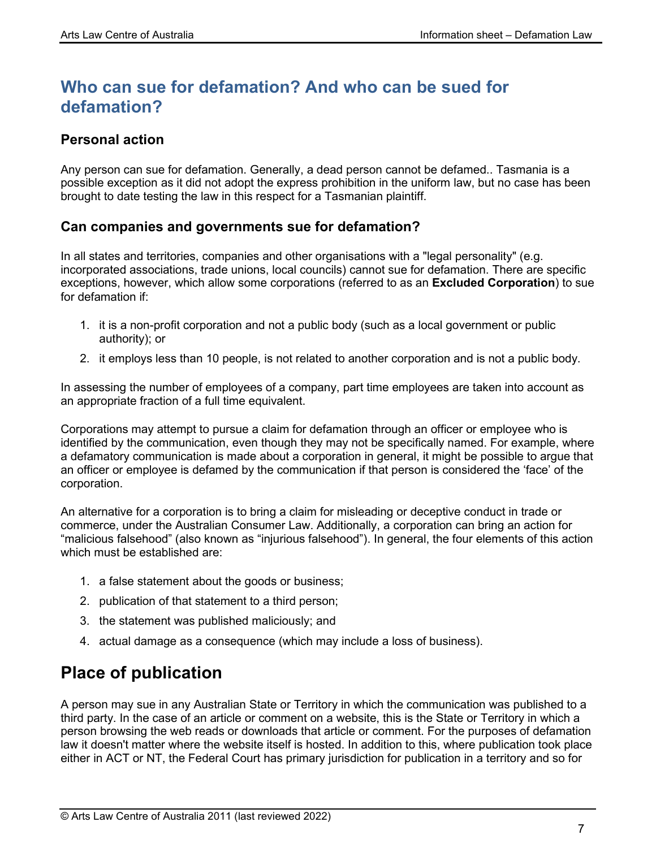## **Who can sue for defamation? And who can be sued for defamation?**

### **Personal action**

Any person can sue for defamation. Generally, a dead person cannot be defamed.. Tasmania is a possible exception as it did not adopt the express prohibition in the uniform law, but no case has been brought to date testing the law in this respect for a Tasmanian plaintiff.

### **Can companies and governments sue for defamation?**

In all states and territories, companies and other organisations with a "legal personality" (e.g. incorporated associations, trade unions, local councils) cannot sue for defamation. There are specific exceptions, however, which allow some corporations (referred to as an **Excluded Corporation**) to sue for defamation if:

- 1. it is a non-profit corporation and not a public body (such as a local government or public authority); or
- 2. it employs less than 10 people, is not related to another corporation and is not a public body.

In assessing the number of employees of a company, part time employees are taken into account as an appropriate fraction of a full time equivalent.

Corporations may attempt to pursue a claim for defamation through an officer or employee who is identified by the communication, even though they may not be specifically named. For example, where a defamatory communication is made about a corporation in general, it might be possible to argue that an officer or employee is defamed by the communication if that person is considered the 'face' of the corporation.

An alternative for a corporation is to bring a claim for misleading or deceptive conduct in trade or commerce, under the Australian Consumer Law. Additionally, a corporation can bring an action for "malicious falsehood" (also known as "injurious falsehood"). In general, the four elements of this action which must be established are:

- 1. a false statement about the goods or business;
- 2. publication of that statement to a third person;
- 3. the statement was published maliciously; and
- 4. actual damage as a consequence (which may include a loss of business).

## **Place of publication**

A person may sue in any Australian State or Territory in which the communication was published to a third party. In the case of an article or comment on a website, this is the State or Territory in which a person browsing the web reads or downloads that article or comment. For the purposes of defamation law it doesn't matter where the website itself is hosted. In addition to this, where publication took place either in ACT or NT, the Federal Court has primary jurisdiction for publication in a territory and so for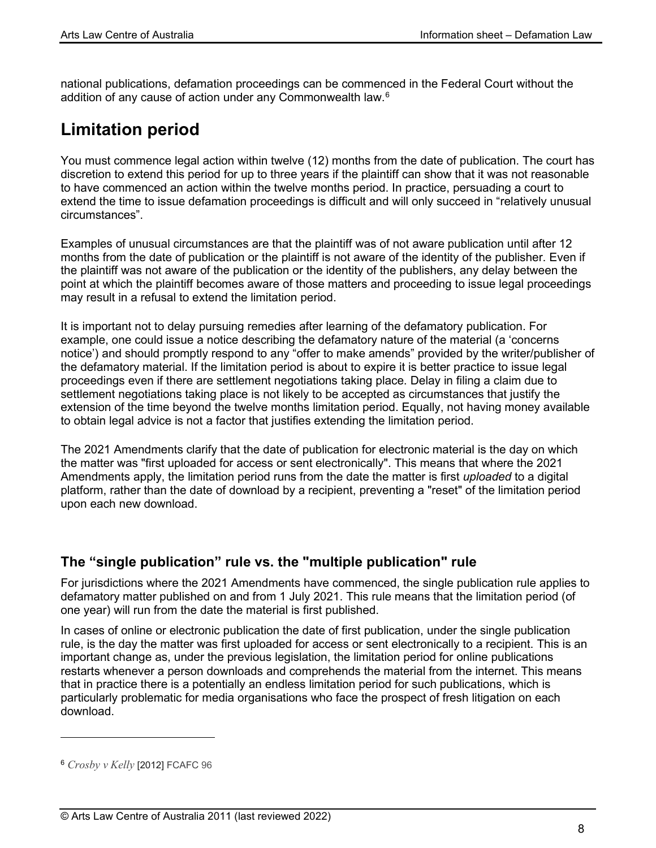national publications, defamation proceedings can be commenced in the Federal Court without the addition of any cause of action under any Commonwealth law. $^6$  $^6$ 

## **Limitation period**

You must commence legal action within twelve (12) months from the date of publication. The court has discretion to extend this period for up to three years if the plaintiff can show that it was not reasonable to have commenced an action within the twelve months period. In practice, persuading a court to extend the time to issue defamation proceedings is difficult and will only succeed in "relatively unusual circumstances".

Examples of unusual circumstances are that the plaintiff was of not aware publication until after 12 months from the date of publication or the plaintiff is not aware of the identity of the publisher. Even if the plaintiff was not aware of the publication or the identity of the publishers, any delay between the point at which the plaintiff becomes aware of those matters and proceeding to issue legal proceedings may result in a refusal to extend the limitation period.

It is important not to delay pursuing remedies after learning of the defamatory publication. For example, one could issue a notice describing the defamatory nature of the material (a 'concerns notice') and should promptly respond to any "offer to make amends" provided by the writer/publisher of the defamatory material. If the limitation period is about to expire it is better practice to issue legal proceedings even if there are settlement negotiations taking place. Delay in filing a claim due to settlement negotiations taking place is not likely to be accepted as circumstances that justify the extension of the time beyond the twelve months limitation period. Equally, not having money available to obtain legal advice is not a factor that justifies extending the limitation period.

The 2021 Amendments clarify that the date of publication for electronic material is the day on which the matter was "first uploaded for access or sent electronically". This means that where the 2021 Amendments apply, the limitation period runs from the date the matter is first *uploaded* to a digital platform, rather than the date of download by a recipient, preventing a "reset" of the limitation period upon each new download.

### **The "single publication" rule vs. the "multiple publication" rule**

For jurisdictions where the 2021 Amendments have commenced, the single publication rule applies to defamatory matter published on and from 1 July 2021. This rule means that the limitation period (of one year) will run from the date the material is first published.

In cases of online or electronic publication the date of first publication, under the single publication rule, is the day the matter was first uploaded for access or sent electronically to a recipient. This is an important change as, under the previous legislation, the limitation period for online publications restarts whenever a person downloads and comprehends the material from the internet. This means that in practice there is a potentially an endless limitation period for such publications, which is particularly problematic for media organisations who face the prospect of fresh litigation on each download.

<span id="page-7-0"></span><sup>6</sup> *Crosby v Kelly* [2012] FCAFC 96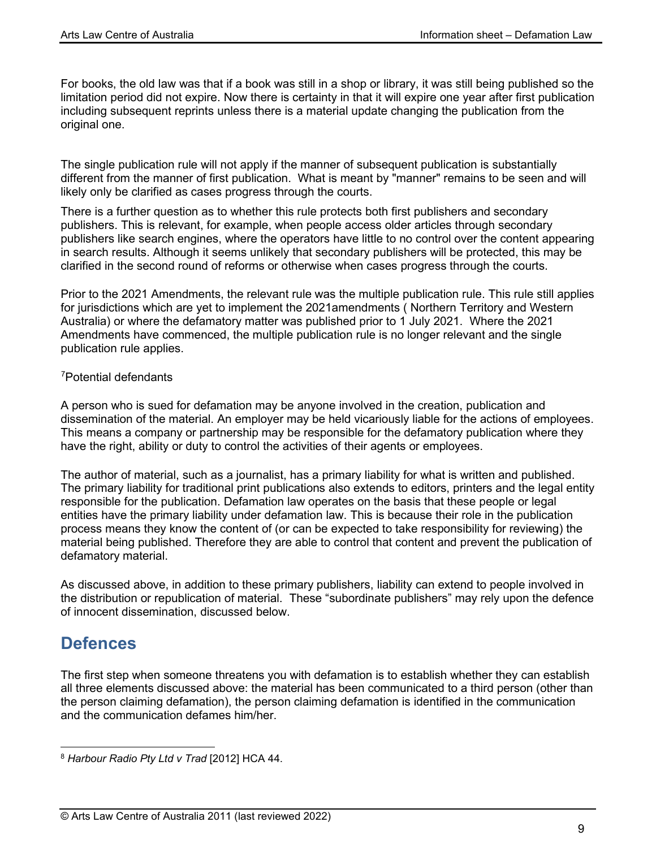For books, the old law was that if a book was still in a shop or library, it was still being published so the limitation period did not expire. Now there is certainty in that it will expire one year after first publication including subsequent reprints unless there is a material update changing the publication from the original one.

The single publication rule will not apply if the manner of subsequent publication is substantially different from the manner of first publication. What is meant by "manner" remains to be seen and will likely only be clarified as cases progress through the courts.

There is a further question as to whether this rule protects both first publishers and secondary publishers. This is relevant, for example, when people access older articles through secondary publishers like search engines, where the operators have little to no control over the content appearing in search results. Although it seems unlikely that secondary publishers will be protected, this may be clarified in the second round of reforms or otherwise when cases progress through the courts.

Prior to the 2021 Amendments, the relevant rule was the multiple publication rule. This rule still applies for jurisdictions which are yet to implement the 2021amendments ( Northern Territory and Western Australia) or where the defamatory matter was published prior to 1 July 2021. Where the 2021 Amendments have commenced, the multiple publication rule is no longer relevant and the single publication rule applies.

#### [7](#page-8-0) Potential defendants

A person who is sued for defamation may be anyone involved in the creation, publication and dissemination of the material. An employer may be held vicariously liable for the actions of employees. This means a company or partnership may be responsible for the defamatory publication where they have the right, ability or duty to control the activities of their agents or employees.

The author of material, such as a journalist, has a primary liability for what is written and published. The primary liability for traditional print publications also extends to editors, printers and the legal entity responsible for the publication. Defamation law operates on the basis that these people or legal entities have the primary liability under defamation law. This is because their role in the publication process means they know the content of (or can be expected to take responsibility for reviewing) the material being published. Therefore they are able to control that content and prevent the publication of defamatory material.

As discussed above, in addition to these primary publishers, liability can extend to people involved in the distribution or republication of material. These "subordinate publishers" may rely upon the defence of innocent dissemination, discussed below.

## **Defences**

The first step when someone threatens you with defamation is to establish whether they can establish all three elements discussed above: the material has been communicated to a third person (other than the person claiming defamation), the person claiming defamation is identified in the communication and the communication defames him/her.

<span id="page-8-0"></span><sup>8</sup> *Harbour Radio Pty Ltd v Trad* [2012] HCA 44.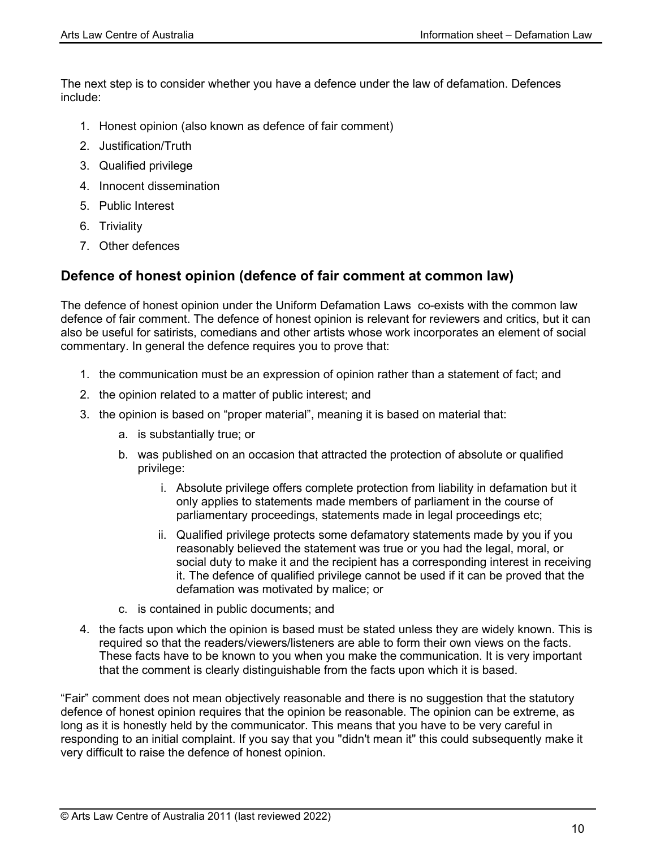The next step is to consider whether you have a defence under the law of defamation. Defences include:

- 1. Honest opinion (also known as defence of fair comment)
- 2. Justification/Truth
- 3. Qualified privilege
- 4. Innocent dissemination
- 5. Public Interest
- 6. Triviality
- 7. Other defences

#### **Defence of honest opinion (defence of fair comment at common law)**

The defence of honest opinion under the Uniform Defamation Laws co-exists with the common law defence of fair comment. The defence of honest opinion is relevant for reviewers and critics, but it can also be useful for satirists, comedians and other artists whose work incorporates an element of social commentary. In general the defence requires you to prove that:

- 1. the communication must be an expression of opinion rather than a statement of fact; and
- 2. the opinion related to a matter of public interest; and
- 3. the opinion is based on "proper material", meaning it is based on material that:
	- a. is substantially true; or
	- b. was published on an occasion that attracted the protection of absolute or qualified privilege:
		- i. Absolute privilege offers complete protection from liability in defamation but it only applies to statements made members of parliament in the course of parliamentary proceedings, statements made in legal proceedings etc;
		- ii. Qualified privilege protects some defamatory statements made by you if you reasonably believed the statement was true or you had the legal, moral, or social duty to make it and the recipient has a corresponding interest in receiving it. The defence of qualified privilege cannot be used if it can be proved that the defamation was motivated by malice; or
	- c. is contained in public documents; and
- 4. the facts upon which the opinion is based must be stated unless they are widely known. This is required so that the readers/viewers/listeners are able to form their own views on the facts. These facts have to be known to you when you make the communication. It is very important that the comment is clearly distinguishable from the facts upon which it is based.

"Fair" comment does not mean objectively reasonable and there is no suggestion that the statutory defence of honest opinion requires that the opinion be reasonable. The opinion can be extreme, as long as it is honestly held by the communicator. This means that you have to be very careful in responding to an initial complaint. If you say that you "didn't mean it" this could subsequently make it very difficult to raise the defence of honest opinion.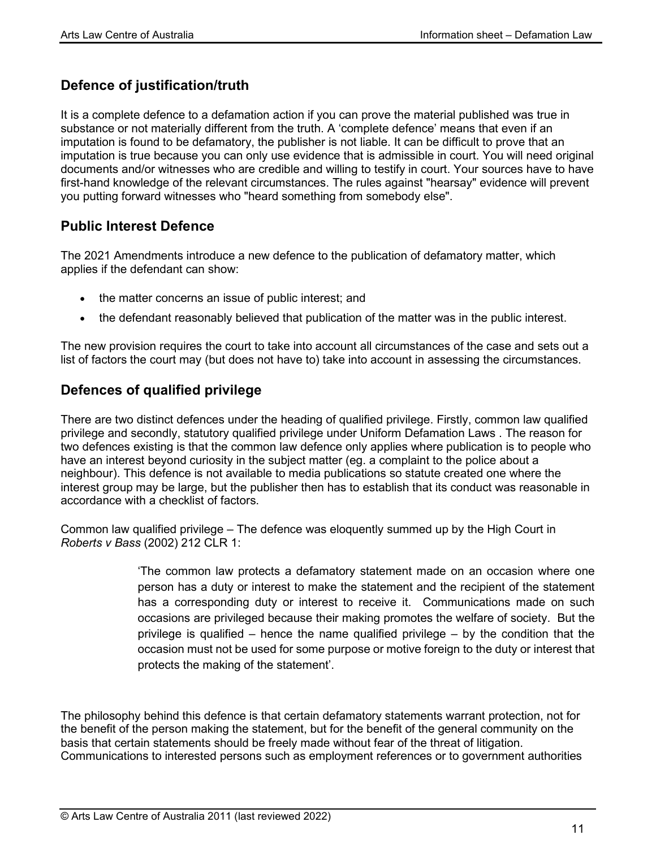### **Defence of justification/truth**

It is a complete defence to a defamation action if you can prove the material published was true in substance or not materially different from the truth. A 'complete defence' means that even if an imputation is found to be defamatory, the publisher is not liable. It can be difficult to prove that an imputation is true because you can only use evidence that is admissible in court. You will need original documents and/or witnesses who are credible and willing to testify in court. Your sources have to have first-hand knowledge of the relevant circumstances. The rules against "hearsay" evidence will prevent you putting forward witnesses who "heard something from somebody else".

### **Public Interest Defence**

The 2021 Amendments introduce a new defence to the publication of defamatory matter, which applies if the defendant can show:

- the matter concerns an issue of public interest; and
- the defendant reasonably believed that publication of the matter was in the public interest.

The new provision requires the court to take into account all circumstances of the case and sets out a list of factors the court may (but does not have to) take into account in assessing the circumstances.

### **Defences of qualified privilege**

There are two distinct defences under the heading of qualified privilege. Firstly, common law qualified privilege and secondly, statutory qualified privilege under Uniform Defamation Laws . The reason for two defences existing is that the common law defence only applies where publication is to people who have an interest beyond curiosity in the subject matter (eg. a complaint to the police about a neighbour). This defence is not available to media publications so statute created one where the interest group may be large, but the publisher then has to establish that its conduct was reasonable in accordance with a checklist of factors.

Common law qualified privilege – The defence was eloquently summed up by the High Court in *Roberts v Bass* (2002) 212 CLR 1:

> 'The common law protects a defamatory statement made on an occasion where one person has a duty or interest to make the statement and the recipient of the statement has a corresponding duty or interest to receive it. Communications made on such occasions are privileged because their making promotes the welfare of society. But the privilege is qualified – hence the name qualified privilege – by the condition that the occasion must not be used for some purpose or motive foreign to the duty or interest that protects the making of the statement'.

The philosophy behind this defence is that certain defamatory statements warrant protection, not for the benefit of the person making the statement, but for the benefit of the general community on the basis that certain statements should be freely made without fear of the threat of litigation. Communications to interested persons such as employment references or to government authorities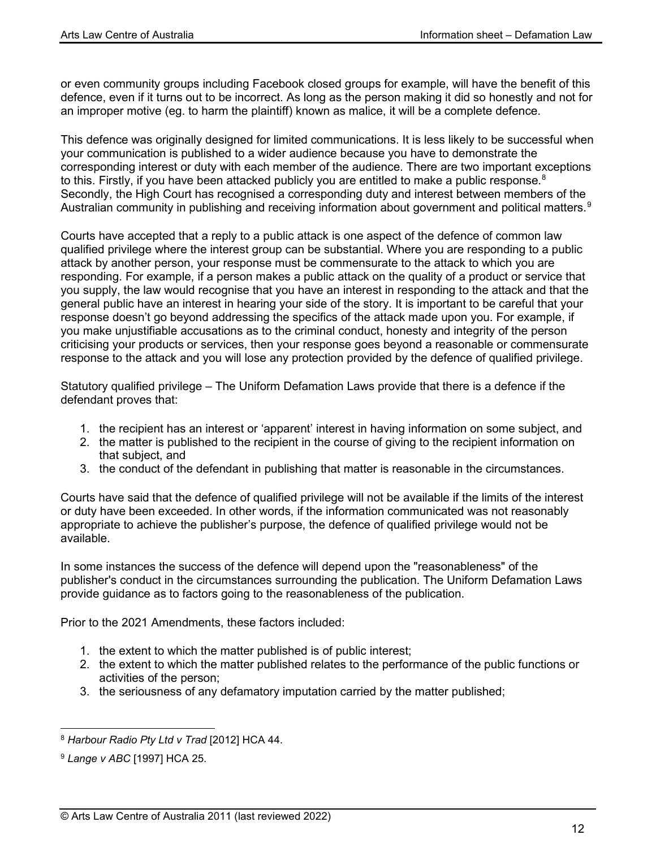or even community groups including Facebook closed groups for example, will have the benefit of this defence, even if it turns out to be incorrect. As long as the person making it did so honestly and not for an improper motive (eg. to harm the plaintiff) known as malice, it will be a complete defence.

This defence was originally designed for limited communications. It is less likely to be successful when your communication is published to a wider audience because you have to demonstrate the corresponding interest or duty with each member of the audience. There are two important exceptions to this. Firstly, if you have been attacked publicly you are entitled to make a public response.<sup>[8](#page-11-0)</sup> Secondly, the High Court has recognised a corresponding duty and interest between members of the Australian community in publishing and receiving information about government and political matters.<sup>[9](#page-11-0)</sup>

Courts have accepted that a reply to a public attack is one aspect of the defence of common law qualified privilege where the interest group can be substantial. Where you are responding to a public attack by another person, your response must be commensurate to the attack to which you are responding. For example, if a person makes a public attack on the quality of a product or service that you supply, the law would recognise that you have an interest in responding to the attack and that the general public have an interest in hearing your side of the story. It is important to be careful that your response doesn't go beyond addressing the specifics of the attack made upon you. For example, if you make unjustifiable accusations as to the criminal conduct, honesty and integrity of the person criticising your products or services, then your response goes beyond a reasonable or commensurate response to the attack and you will lose any protection provided by the defence of qualified privilege.

Statutory qualified privilege – The Uniform Defamation Laws provide that there is a defence if the defendant proves that:

- 1. the recipient has an interest or 'apparent' interest in having information on some subject, and
- 2. the matter is published to the recipient in the course of giving to the recipient information on that subject, and
- 3. the conduct of the defendant in publishing that matter is reasonable in the circumstances.

Courts have said that the defence of qualified privilege will not be available if the limits of the interest or duty have been exceeded. In other words, if the information communicated was not reasonably appropriate to achieve the publisher's purpose, the defence of qualified privilege would not be available.

In some instances the success of the defence will depend upon the "reasonableness" of the publisher's conduct in the circumstances surrounding the publication. The Uniform Defamation Laws provide guidance as to factors going to the reasonableness of the publication.

Prior to the 2021 Amendments, these factors included:

- 1. the extent to which the matter published is of public interest;
- 2. the extent to which the matter published relates to the performance of the public functions or activities of the person;
- 3. the seriousness of any defamatory imputation carried by the matter published;

<sup>8</sup> *Harbour Radio Pty Ltd v Trad* [2012] HCA 44.

<span id="page-11-0"></span><sup>9</sup> *Lange v ABC* [1997] HCA 25.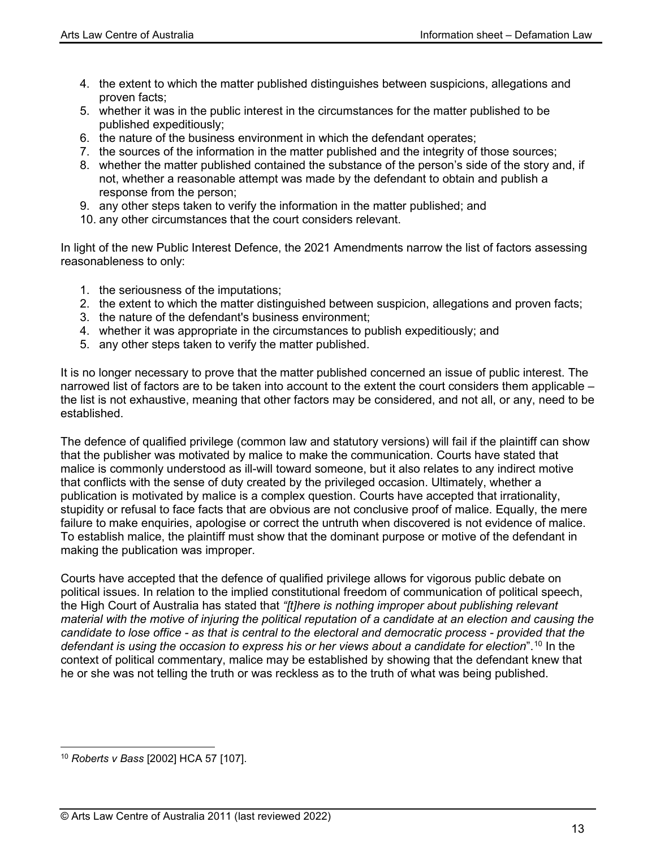- 4. the extent to which the matter published distinguishes between suspicions, allegations and proven facts;
- 5. whether it was in the public interest in the circumstances for the matter published to be published expeditiously;
- 6. the nature of the business environment in which the defendant operates;
- 7. the sources of the information in the matter published and the integrity of those sources;
- 8. whether the matter published contained the substance of the person's side of the story and, if not, whether a reasonable attempt was made by the defendant to obtain and publish a response from the person;
- 9. any other steps taken to verify the information in the matter published; and
- 10. any other circumstances that the court considers relevant.

In light of the new Public Interest Defence, the 2021 Amendments narrow the list of factors assessing reasonableness to only:

- 1. the seriousness of the imputations;
- 2. the extent to which the matter distinguished between suspicion, allegations and proven facts;
- 3. the nature of the defendant's business environment;
- 4. whether it was appropriate in the circumstances to publish expeditiously; and
- 5. any other steps taken to verify the matter published.

It is no longer necessary to prove that the matter published concerned an issue of public interest. The narrowed list of factors are to be taken into account to the extent the court considers them applicable – the list is not exhaustive, meaning that other factors may be considered, and not all, or any, need to be established.

The defence of qualified privilege (common law and statutory versions) will fail if the plaintiff can show that the publisher was motivated by malice to make the communication. Courts have stated that malice is commonly understood as ill-will toward someone, but it also relates to any indirect motive that conflicts with the sense of duty created by the privileged occasion. Ultimately, whether a publication is motivated by malice is a complex question. Courts have accepted that irrationality, stupidity or refusal to face facts that are obvious are not conclusive proof of malice. Equally, the mere failure to make enquiries, apologise or correct the untruth when discovered is not evidence of malice. To establish malice, the plaintiff must show that the dominant purpose or motive of the defendant in making the publication was improper.

Courts have accepted that the defence of qualified privilege allows for vigorous public debate on political issues. In relation to the implied constitutional freedom of communication of political speech, the High Court of Australia has stated that *"[t]here is nothing improper about publishing relevant material with the motive of injuring the political reputation of a candidate at an election and causing the candidate to lose office - as that is central to the electoral and democratic process - provided that the defendant is using the occasion to express his or her views about a candidate for election*". [10](#page-12-0) In the context of political commentary, malice may be established by showing that the defendant knew that he or she was not telling the truth or was reckless as to the truth of what was being published.

<span id="page-12-0"></span><sup>10</sup> *Roberts v Bass* [2002] HCA 57 [107].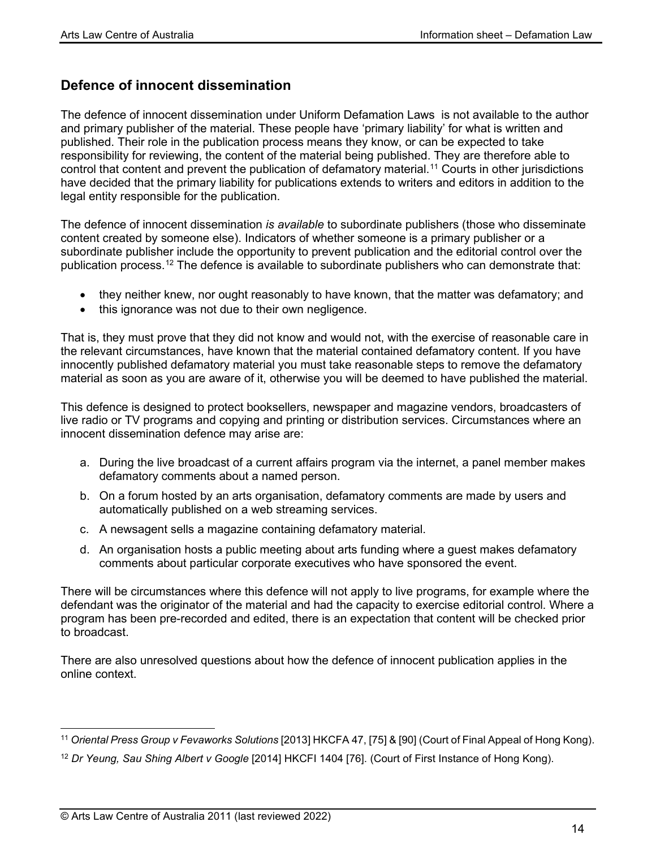### **Defence of innocent dissemination**

The defence of innocent dissemination under Uniform Defamation Laws is not available to the author and primary publisher of the material. These people have 'primary liability' for what is written and published. Their role in the publication process means they know, or can be expected to take responsibility for reviewing, the content of the material being published. They are therefore able to control that content and prevent the publication of defamatory material.<sup>[11](#page-13-0)</sup> Courts in other jurisdictions have decided that the primary liability for publications extends to writers and editors in addition to the legal entity responsible for the publication.

The defence of innocent dissemination *is available* to subordinate publishers (those who disseminate content created by someone else). Indicators of whether someone is a primary publisher or a subordinate publisher include the opportunity to prevent publication and the editorial control over the publication process. [12](#page-13-1) The defence is available to subordinate publishers who can demonstrate that:

- they neither knew, nor ought reasonably to have known, that the matter was defamatory; and
- this ignorance was not due to their own negligence.

That is, they must prove that they did not know and would not, with the exercise of reasonable care in the relevant circumstances, have known that the material contained defamatory content. If you have innocently published defamatory material you must take reasonable steps to remove the defamatory material as soon as you are aware of it, otherwise you will be deemed to have published the material.

This defence is designed to protect booksellers, newspaper and magazine vendors, broadcasters of live radio or TV programs and copying and printing or distribution services. Circumstances where an innocent dissemination defence may arise are:

- a. During the live broadcast of a current affairs program via the internet, a panel member makes defamatory comments about a named person.
- b. On a forum hosted by an arts organisation, defamatory comments are made by users and automatically published on a web streaming services.
- c. A newsagent sells a magazine containing defamatory material.
- d. An organisation hosts a public meeting about arts funding where a guest makes defamatory comments about particular corporate executives who have sponsored the event.

There will be circumstances where this defence will not apply to live programs, for example where the defendant was the originator of the material and had the capacity to exercise editorial control. Where a program has been pre-recorded and edited, there is an expectation that content will be checked prior to broadcast.

There are also unresolved questions about how the defence of innocent publication applies in the online context.

<span id="page-13-0"></span><sup>11</sup> *Oriental Press Group v Fevaworks Solutions* [2013] HKCFA 47, [75] & [90] (Court of Final Appeal of Hong Kong).

<span id="page-13-1"></span><sup>12</sup> *Dr Yeung, Sau Shing Albert v Google* [2014] HKCFI 1404 [76]. (Court of First Instance of Hong Kong).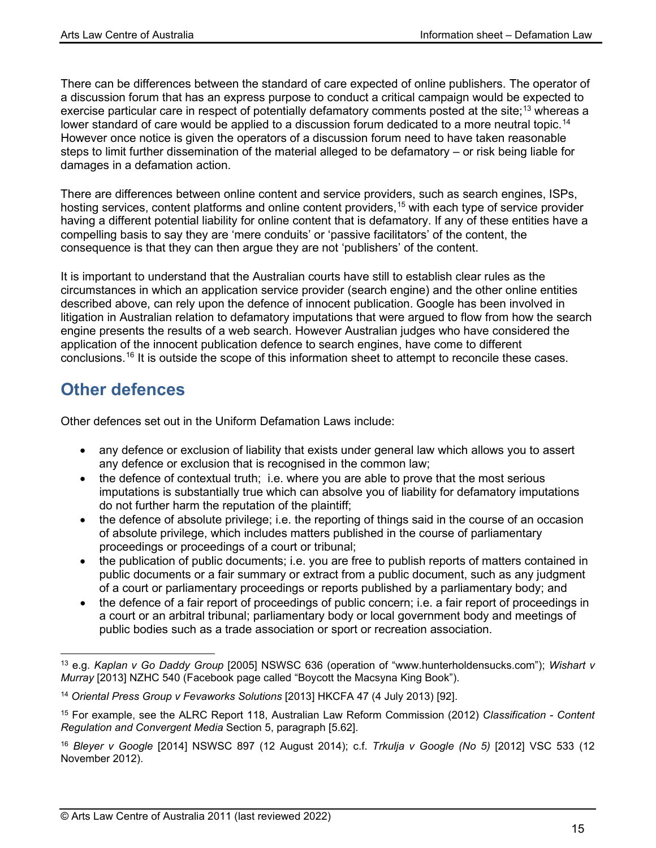There can be differences between the standard of care expected of online publishers. The operator of a discussion forum that has an express purpose to conduct a critical campaign would be expected to exercise particular care in respect of potentially defamatory comments posted at the site;<sup>[13](#page-14-0)</sup> whereas a lower standard of care would be applied to a discussion forum dedicated to a more neutral topic.<sup>[14](#page-14-1)</sup> However once notice is given the operators of a discussion forum need to have taken reasonable steps to limit further dissemination of the material alleged to be defamatory – or risk being liable for damages in a defamation action.

There are differences between online content and service providers, such as search engines, ISPs, hosting services, content platforms and online content providers,<sup>[15](#page-14-2)</sup> with each type of service provider having a different potential liability for online content that is defamatory. If any of these entities have a compelling basis to say they are 'mere conduits' or 'passive facilitators' of the content, the consequence is that they can then argue they are not 'publishers' of the content.

It is important to understand that the Australian courts have still to establish clear rules as the circumstances in which an application service provider (search engine) and the other online entities described above, can rely upon the defence of innocent publication. Google has been involved in litigation in Australian relation to defamatory imputations that were argued to flow from how the search engine presents the results of a web search. However Australian judges who have considered the application of the innocent publication defence to search engines, have come to different conclusions.[16](#page-14-3) It is outside the scope of this information sheet to attempt to reconcile these cases.

## **Other defences**

Other defences set out in the Uniform Defamation Laws include:

- any defence or exclusion of liability that exists under general law which allows you to assert any defence or exclusion that is recognised in the common law;
- the defence of contextual truth; i.e. where you are able to prove that the most serious imputations is substantially true which can absolve you of liability for defamatory imputations do not further harm the reputation of the plaintiff;
- the defence of absolute privilege; i.e. the reporting of things said in the course of an occasion of absolute privilege, which includes matters published in the course of parliamentary proceedings or proceedings of a court or tribunal;
- the publication of public documents; i.e. you are free to publish reports of matters contained in public documents or a fair summary or extract from a public document, such as any judgment of a court or parliamentary proceedings or reports published by a parliamentary body; and
- the defence of a fair report of proceedings of public concern; i.e. a fair report of proceedings in a court or an arbitral tribunal; parliamentary body or local government body and meetings of public bodies such as a trade association or sport or recreation association.

<span id="page-14-0"></span><sup>13</sup> e.g. *Kaplan v Go Daddy Group* [2005] NSWSC 636 (operation of "www.hunterholdensucks.com"); *Wishart v Murray* [2013] NZHC 540 (Facebook page called "Boycott the Macsyna King Book").

<span id="page-14-1"></span><sup>14</sup> *Oriental Press Group v Fevaworks Solutions* [2013] HKCFA 47 (4 July 2013) [92].

<span id="page-14-2"></span><sup>15</sup> For example, see the ALRC Report 118, Australian Law Reform Commission (2012) *Classification - Content Regulation and Convergent Media* Section 5, paragraph [5.62].

<span id="page-14-3"></span><sup>16</sup> *Bleyer v Google* [2014] NSWSC 897 (12 August 2014); c.f. *Trkulja v Google (No 5)* [2012] VSC 533 (12 November 2012).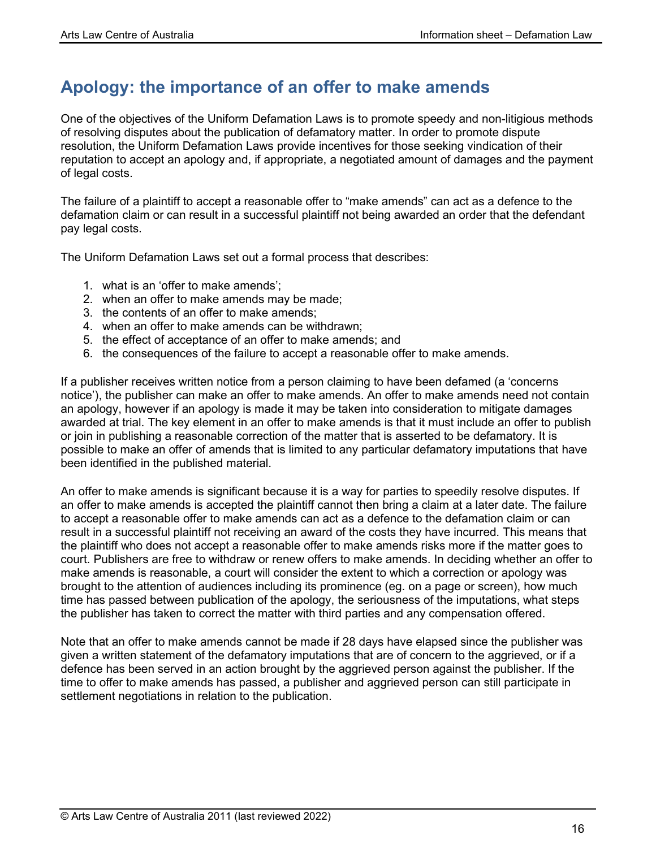## **Apology: the importance of an offer to make amends**

One of the objectives of the Uniform Defamation Laws is to promote speedy and non-litigious methods of resolving disputes about the publication of defamatory matter. In order to promote dispute resolution, the Uniform Defamation Laws provide incentives for those seeking vindication of their reputation to accept an apology and, if appropriate, a negotiated amount of damages and the payment of legal costs.

The failure of a plaintiff to accept a reasonable offer to "make amends" can act as a defence to the defamation claim or can result in a successful plaintiff not being awarded an order that the defendant pay legal costs.

The Uniform Defamation Laws set out a formal process that describes:

- 1. what is an 'offer to make amends';
- 2. when an offer to make amends may be made;
- 3. the contents of an offer to make amends;
- 4. when an offer to make amends can be withdrawn;
- 5. the effect of acceptance of an offer to make amends; and
- 6. the consequences of the failure to accept a reasonable offer to make amends.

If a publisher receives written notice from a person claiming to have been defamed (a 'concerns notice'), the publisher can make an offer to make amends. An offer to make amends need not contain an apology, however if an apology is made it may be taken into consideration to mitigate damages awarded at trial. The key element in an offer to make amends is that it must include an offer to publish or join in publishing a reasonable correction of the matter that is asserted to be defamatory. It is possible to make an offer of amends that is limited to any particular defamatory imputations that have been identified in the published material.

An offer to make amends is significant because it is a way for parties to speedily resolve disputes. If an offer to make amends is accepted the plaintiff cannot then bring a claim at a later date. The failure to accept a reasonable offer to make amends can act as a defence to the defamation claim or can result in a successful plaintiff not receiving an award of the costs they have incurred. This means that the plaintiff who does not accept a reasonable offer to make amends risks more if the matter goes to court. Publishers are free to withdraw or renew offers to make amends. In deciding whether an offer to make amends is reasonable, a court will consider the extent to which a correction or apology was brought to the attention of audiences including its prominence (eg. on a page or screen), how much time has passed between publication of the apology, the seriousness of the imputations, what steps the publisher has taken to correct the matter with third parties and any compensation offered.

Note that an offer to make amends cannot be made if 28 days have elapsed since the publisher was given a written statement of the defamatory imputations that are of concern to the aggrieved, or if a defence has been served in an action brought by the aggrieved person against the publisher. If the time to offer to make amends has passed, a publisher and aggrieved person can still participate in settlement negotiations in relation to the publication.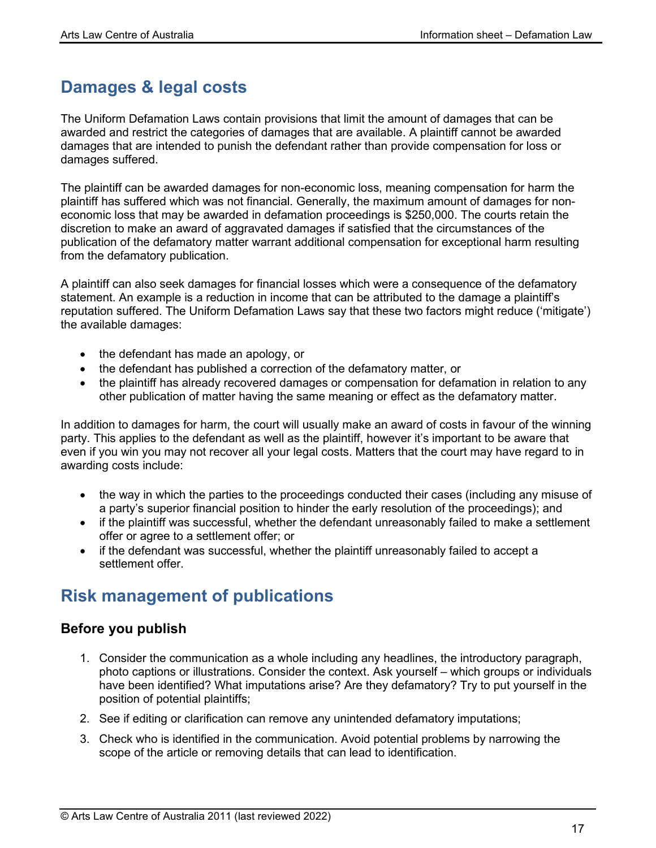## **Damages & legal costs**

The Uniform Defamation Laws contain provisions that limit the amount of damages that can be awarded and restrict the categories of damages that are available. A plaintiff cannot be awarded damages that are intended to punish the defendant rather than provide compensation for loss or damages suffered.

The plaintiff can be awarded damages for non-economic loss, meaning compensation for harm the plaintiff has suffered which was not financial. Generally, the maximum amount of damages for noneconomic loss that may be awarded in defamation proceedings is \$250,000. The courts retain the discretion to make an award of aggravated damages if satisfied that the circumstances of the publication of the defamatory matter warrant additional compensation for exceptional harm resulting from the defamatory publication.

A plaintiff can also seek damages for financial losses which were a consequence of the defamatory statement. An example is a reduction in income that can be attributed to the damage a plaintiff's reputation suffered. The Uniform Defamation Laws say that these two factors might reduce ('mitigate') the available damages:

- the defendant has made an apology, or
- the defendant has published a correction of the defamatory matter, or
- the plaintiff has already recovered damages or compensation for defamation in relation to any other publication of matter having the same meaning or effect as the defamatory matter.

In addition to damages for harm, the court will usually make an award of costs in favour of the winning party. This applies to the defendant as well as the plaintiff, however it's important to be aware that even if you win you may not recover all your legal costs. Matters that the court may have regard to in awarding costs include:

- the way in which the parties to the proceedings conducted their cases (including any misuse of a party's superior financial position to hinder the early resolution of the proceedings); and
- if the plaintiff was successful, whether the defendant unreasonably failed to make a settlement offer or agree to a settlement offer; or
- if the defendant was successful, whether the plaintiff unreasonably failed to accept a settlement offer.

## **Risk management of publications**

### **Before you publish**

- 1. Consider the communication as a whole including any headlines, the introductory paragraph, photo captions or illustrations. Consider the context. Ask yourself – which groups or individuals have been identified? What imputations arise? Are they defamatory? Try to put yourself in the position of potential plaintiffs;
- 2. See if editing or clarification can remove any unintended defamatory imputations;
- 3. Check who is identified in the communication. Avoid potential problems by narrowing the scope of the article or removing details that can lead to identification.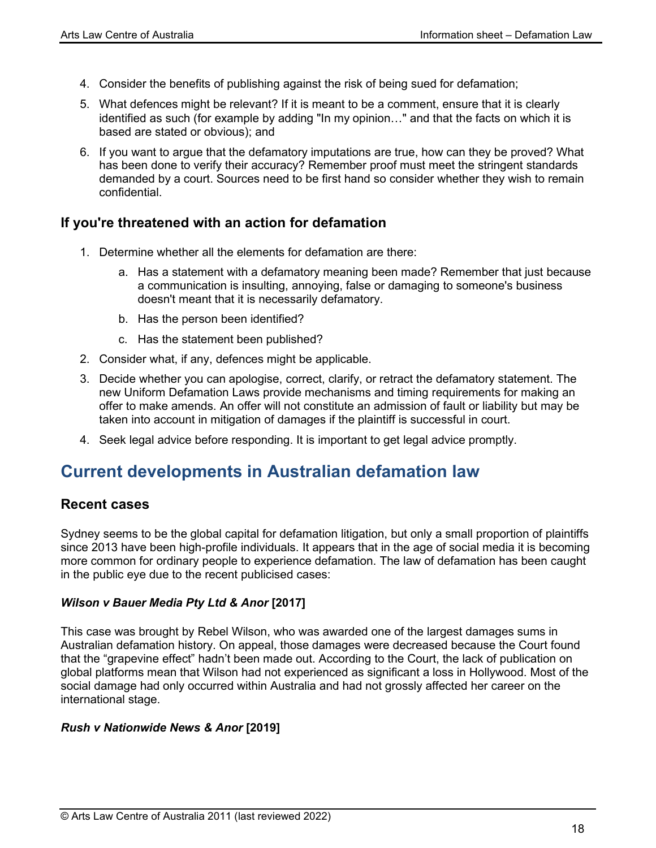- 4. Consider the benefits of publishing against the risk of being sued for defamation;
- 5. What defences might be relevant? If it is meant to be a comment, ensure that it is clearly identified as such (for example by adding "In my opinion…" and that the facts on which it is based are stated or obvious); and
- 6. If you want to argue that the defamatory imputations are true, how can they be proved? What has been done to verify their accuracy? Remember proof must meet the stringent standards demanded by a court. Sources need to be first hand so consider whether they wish to remain confidential.

### **If you're threatened with an action for defamation**

- 1. Determine whether all the elements for defamation are there:
	- a. Has a statement with a defamatory meaning been made? Remember that just because a communication is insulting, annoying, false or damaging to someone's business doesn't meant that it is necessarily defamatory.
	- b. Has the person been identified?
	- c. Has the statement been published?
- 2. Consider what, if any, defences might be applicable.
- 3. Decide whether you can apologise, correct, clarify, or retract the defamatory statement. The new Uniform Defamation Laws provide mechanisms and timing requirements for making an offer to make amends. An offer will not constitute an admission of fault or liability but may be taken into account in mitigation of damages if the plaintiff is successful in court.
- 4. Seek legal advice before responding. It is important to get legal advice promptly.

## **Current developments in Australian defamation law**

#### **Recent cases**

Sydney seems to be the global capital for defamation litigation, but only a small proportion of plaintiffs since 2013 have been high-profile individuals. It appears that in the age of social media it is becoming more common for ordinary people to experience defamation. The law of defamation has been caught in the public eye due to the recent publicised cases:

#### *Wilson v Bauer Media Pty Ltd & Anor* **[2017]**

This case was brought by Rebel Wilson, who was awarded one of the largest damages sums in Australian defamation history. On appeal, those damages were decreased because the Court found that the "grapevine effect" hadn't been made out. According to the Court, the lack of publication on global platforms mean that Wilson had not experienced as significant a loss in Hollywood. Most of the social damage had only occurred within Australia and had not grossly affected her career on the international stage.

#### *Rush v Nationwide News & Anor* **[2019]**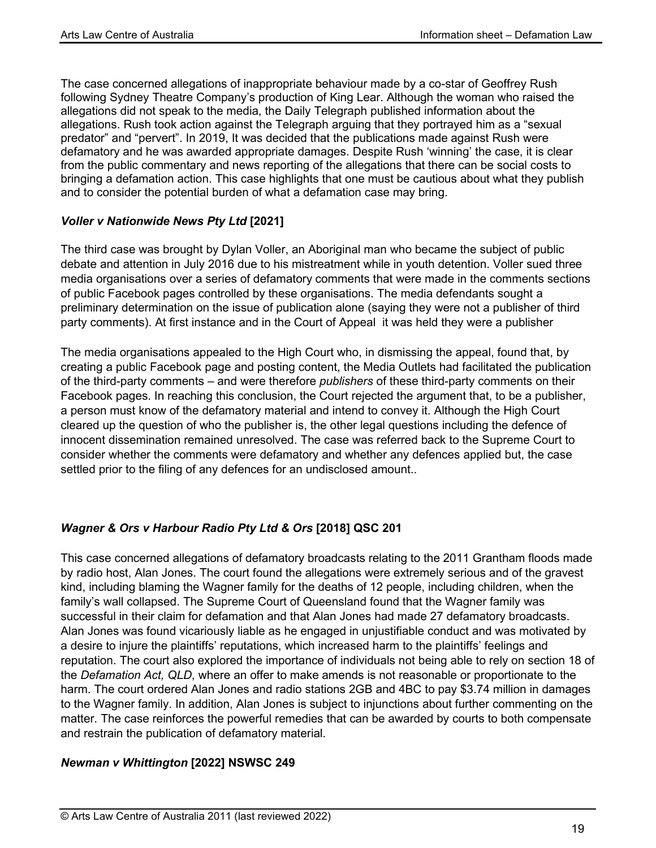The case concerned allegations of inappropriate behaviour made by a co-star of Geoffrey Rush following Sydney Theatre Company's production of King Lear. Although the woman who raised the allegations did not speak to the media, the Daily Telegraph published information about the allegations. Rush took action against the Telegraph arguing that they portrayed him as a "sexual predator" and "pervert". In 2019, It was decided that the publications made against Rush were defamatory and he was awarded appropriate damages. Despite Rush 'winning' the case, it is clear from the public commentary and news reporting of the allegations that there can be social costs to bringing a defamation action. This case highlights that one must be cautious about what they publish and to consider the potential burden of what a defamation case may bring.

#### *Voller v Nationwide News Pty Ltd* **[2021]**

The third case was brought by Dylan Voller, an Aboriginal man who became the subject of public debate and attention in July 2016 due to his mistreatment while in youth detention. Voller sued three media organisations over a series of defamatory comments that were made in the comments sections of public Facebook pages controlled by these organisations. The media defendants sought a preliminary determination on the issue of publication alone (saying they were not a publisher of third party comments). At first instance and in the Court of Appeal it was held they were a publisher

The media organisations appealed to the High Court who, in dismissing the appeal, found that, by creating a public Facebook page and posting content, the Media Outlets had facilitated the publication of the third-party comments – and were therefore *publishers* of these third-party comments on their Facebook pages. In reaching this conclusion, the Court rejected the argument that, to be a publisher, a person must know of the defamatory material and intend to convey it. Although the High Court cleared up the question of who the publisher is, the other legal questions including the defence of innocent dissemination remained unresolved. The case was referred back to the Supreme Court to consider whether the comments were defamatory and whether any defences applied but, the case settled prior to the filing of any defences for an undisclosed amount..

#### *Wagner & Ors v Harbour Radio Pty Ltd & Ors* **[2018] QSC 201**

This case concerned allegations of defamatory broadcasts relating to the 2011 Grantham floods made by radio host, Alan Jones. The court found the allegations were extremely serious and of the gravest kind, including blaming the Wagner family for the deaths of 12 people, including children, when the family's wall collapsed. The Supreme Court of Queensland found that the Wagner family was successful in their claim for defamation and that Alan Jones had made 27 defamatory broadcasts. Alan Jones was found vicariously liable as he engaged in unjustifiable conduct and was motivated by a desire to injure the plaintiffs' reputations, which increased harm to the plaintiffs' feelings and reputation. The court also explored the importance of individuals not being able to rely on section 18 of the *Defamation Act, QLD*, where an offer to make amends is not reasonable or proportionate to the harm. The court ordered Alan Jones and radio stations 2GB and 4BC to pay \$3.74 million in damages to the Wagner family. In addition, Alan Jones is subject to injunctions about further commenting on the matter. The case reinforces the powerful remedies that can be awarded by courts to both compensate and restrain the publication of defamatory material.

#### *Newman v Whittington* **[2022] NSWSC 249**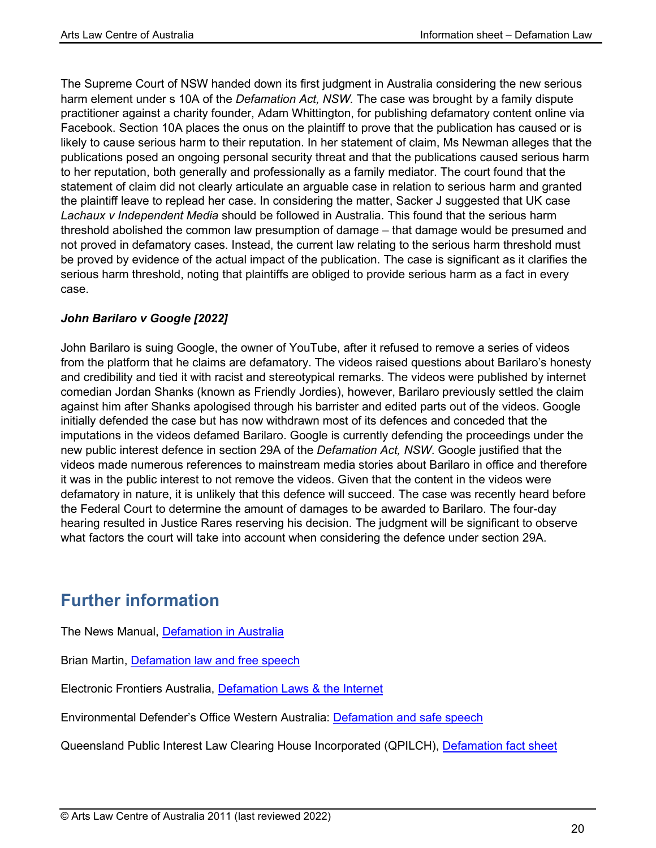The Supreme Court of NSW handed down its first judgment in Australia considering the new serious harm element under s 10A of the *Defamation Act, NSW.* The case was brought by a family dispute practitioner against a charity founder, Adam Whittington, for publishing defamatory content online via Facebook. Section 10A places the onus on the plaintiff to prove that the publication has caused or is likely to cause serious harm to their reputation. In her statement of claim, Ms Newman alleges that the publications posed an ongoing personal security threat and that the publications caused serious harm to her reputation, both generally and professionally as a family mediator. The court found that the statement of claim did not clearly articulate an arguable case in relation to serious harm and granted the plaintiff leave to replead her case. In considering the matter, Sacker J suggested that UK case *Lachaux v Independent Media* should be followed in Australia. This found that the serious harm threshold abolished the common law presumption of damage – that damage would be presumed and not proved in defamatory cases. Instead, the current law relating to the serious harm threshold must be proved by evidence of the actual impact of the publication. The case is significant as it clarifies the serious harm threshold, noting that plaintiffs are obliged to provide serious harm as a fact in every case.

#### *John Barilaro v Google [2022]*

John Barilaro is suing Google, the owner of YouTube, after it refused to remove a series of videos from the platform that he claims are defamatory. The videos raised questions about Barilaro's honesty and credibility and tied it with racist and stereotypical remarks. The videos were published by internet comedian Jordan Shanks (known as Friendly Jordies), however, Barilaro previously settled the claim against him after Shanks apologised through his barrister and edited parts out of the videos. Google initially defended the case but has now withdrawn most of its defences and conceded that the imputations in the videos defamed Barilaro. Google is currently defending the proceedings under the new public interest defence in section 29A of the *Defamation Act, NSW*. Google justified that the videos made numerous references to mainstream media stories about Barilaro in office and therefore it was in the public interest to not remove the videos. Given that the content in the videos were defamatory in nature, it is unlikely that this defence will succeed. The case was recently heard before the Federal Court to determine the amount of damages to be awarded to Barilaro. The four-day hearing resulted in Justice Rares reserving his decision. The judgment will be significant to observe what factors the court will take into account when considering the defence under section 29A.

## **Further information**

The News Manual, [Defamation in Australia](http://www.thenewsmanual.net/Resources/medialaw_in_australia_02.html)

Brian Martin, [Defamation law and free speech](http://www.uow.edu.au/%7Ebmartin/dissent/documents/defamation.html)

Electronic Frontiers Australia, [Defamation Laws & the Internet](https://www.efa.org.au/Issues/Censor/defamation.html)

Environmental Defender's Office Western Australia: [Defamation and safe speech](http://www.edowa.org.au/discover/factsheets/)

Queensland Public Interest Law Clearing House Incorporated (QPILCH), [Defamation fact sheet](http://www.qpilch.org.au/resources/factsheets/defamation.htm)